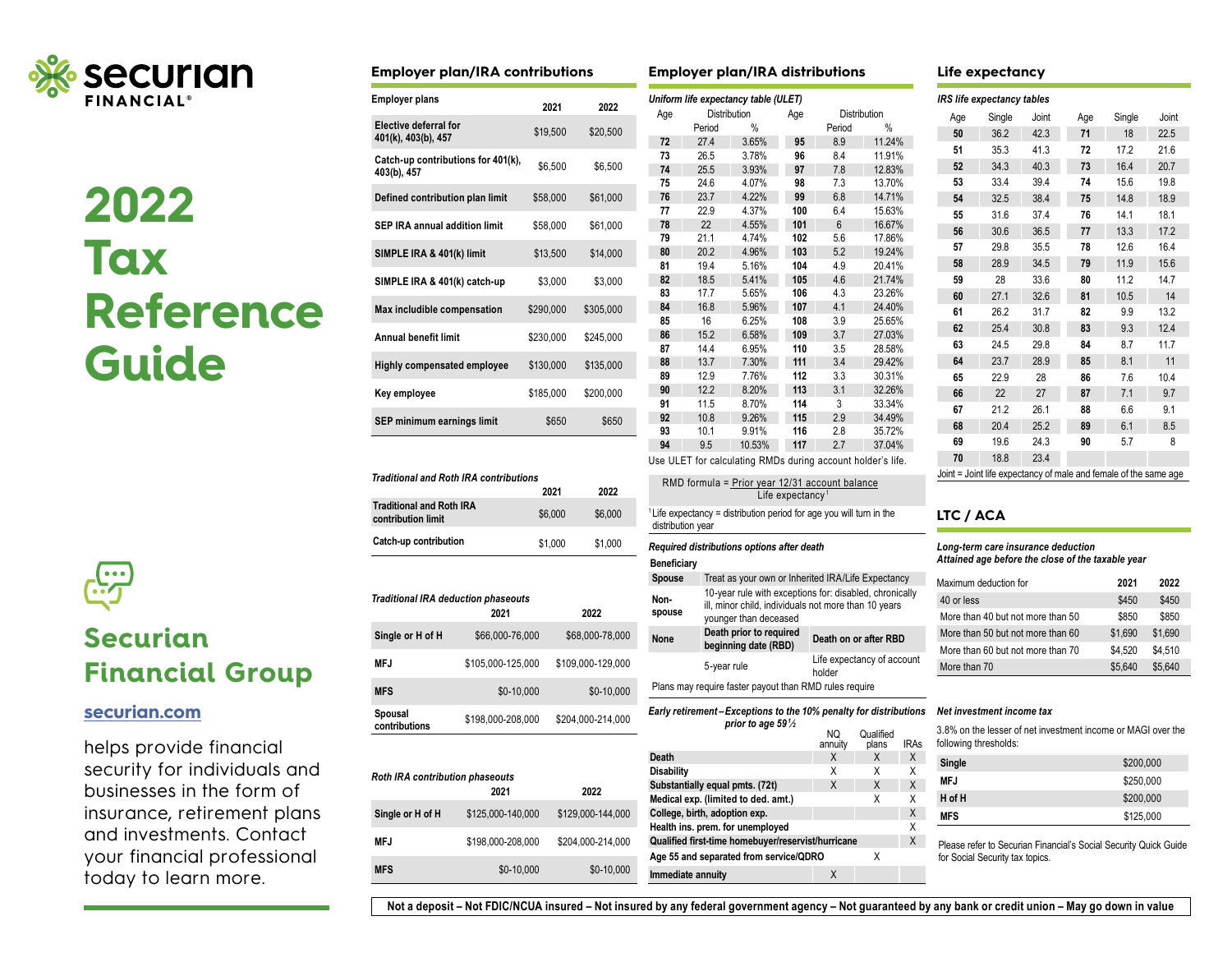

**2022 Tax Reference Guide** 



# **Securian Financial Group**

# **[securian.com](http://securian.com)**

helps provide financial security for individuals and businesses in the form of insurance, retirement plans and investments. Contact your financial professional today to learn more.

| <b>Employer plan/IRA contributions</b>              |           |           |  |  |  |  |  |
|-----------------------------------------------------|-----------|-----------|--|--|--|--|--|
| <b>Employer plans</b><br>2021<br>2022               |           |           |  |  |  |  |  |
| <b>Elective deferral for</b><br>401(k), 403(b), 457 | \$19,500  | \$20,500  |  |  |  |  |  |
| Catch-up contributions for 401(k),<br>403(b), 457   | \$6,500   | \$6.500   |  |  |  |  |  |
| Defined contribution plan limit                     | \$58,000  | \$61,000  |  |  |  |  |  |
| SEP IRA annual addition limit                       | \$58,000  | \$61,000  |  |  |  |  |  |
| SIMPLE IRA & 401(k) limit                           | \$13,500  | \$14,000  |  |  |  |  |  |
| SIMPLE IRA & 401(k) catch-up                        | \$3,000   | \$3,000   |  |  |  |  |  |
| Max includible compensation                         | \$290,000 | \$305,000 |  |  |  |  |  |
| <b>Annual benefit limit</b>                         | \$230,000 | \$245,000 |  |  |  |  |  |
| <b>Highly compensated employee</b>                  | \$130,000 | \$135,000 |  |  |  |  |  |
| Key employee                                        | \$185,000 | \$200.000 |  |  |  |  |  |
| SEP minimum earnings limit<br>\$650<br>\$650        |           |           |  |  |  |  |  |
|                                                     |           |           |  |  |  |  |  |

| <b>Traditional and Roth IRA contributions</b>         |         |         |  |  |  |
|-------------------------------------------------------|---------|---------|--|--|--|
|                                                       | 2021    | 2022    |  |  |  |
| <b>Traditional and Roth IRA</b><br>contribution limit | \$6,000 | \$6,000 |  |  |  |
| Catch-up contribution                                 | \$1,000 | \$1,000 |  |  |  |

| <b>Traditional IRA deduction phaseouts</b> |                   |                   |  |  |  |  |
|--------------------------------------------|-------------------|-------------------|--|--|--|--|
|                                            | 2021              | 2022              |  |  |  |  |
| Single or H of H                           | \$66,000-76,000   | \$68,000-78,000   |  |  |  |  |
| MFJ                                        | \$105.000-125.000 | \$109.000-129.000 |  |  |  |  |
| <b>MFS</b>                                 | $$0-10.000$       | \$0-10.000        |  |  |  |  |
| Spousal<br>contributions                   | \$198,000-208,000 | \$204.000-214.000 |  |  |  |  |

| <b>Roth IRA contribution phaseouts</b><br>2021<br>2022 |                   |                   |  |  |  |  |
|--------------------------------------------------------|-------------------|-------------------|--|--|--|--|
| Single or H of H                                       | \$125,000-140,000 | \$129.000-144.000 |  |  |  |  |
| MF.J                                                   | \$198.000-208.000 | \$204.000-214.000 |  |  |  |  |
| <b>MFS</b>                                             | \$0-10.000        | \$0-10,000        |  |  |  |  |

### **Employer plan/IRA distributions Life expectancy**

| Age | Distribution |        | Age | Distribution |        |
|-----|--------------|--------|-----|--------------|--------|
|     | Period       | %      |     | Period       | %      |
| 72  | 27.4         | 3.65%  | 95  | 8.9          | 11.24% |
| 73  | 26.5         | 3.78%  | 96  | 8.4          | 11.91% |
| 74  | 25.5         | 3.93%  | 97  | 7.8          | 12.83% |
| 75  | 24.6         | 4.07%  | 98  | 7.3          | 13.70% |
| 76  | 23.7         | 4.22%  | 99  | 6.8          | 14.71% |
| 77  | 22.9         | 4.37%  | 100 | 6.4          | 15.63% |
| 78  | 22           | 4.55%  | 101 | 6            | 16.67% |
| 79  | 21.1         | 4.74%  | 102 | 5.6          | 17.86% |
| 80  | 20.2         | 4.96%  | 103 | 5.2          | 19.24% |
| 81  | 19.4         | 5.16%  | 104 | 4.9          | 20.41% |
| 82  | 18.5         | 5.41%  | 105 | 4.6          | 21.74% |
| 83  | 17.7         | 5.65%  | 106 | 4.3          | 23.26% |
| 84  | 16.8         | 5.96%  | 107 | 4.1          | 24.40% |
| 85  | 16           | 6.25%  | 108 | 3.9          | 25.65% |
| 86  | 15.2         | 6.58%  | 109 | 3.7          | 27.03% |
| 87  | 14.4         | 6.95%  | 110 | 3.5          | 28.58% |
| 88  | 13.7         | 7.30%  | 111 | 3.4          | 29.42% |
| 89  | 12.9         | 7.76%  | 112 | 3.3          | 30.31% |
| 90  | 12.2         | 8.20%  | 113 | 3.1          | 32.26% |
| 91  | 11.5         | 8.70%  | 114 | 3            | 33.34% |
| 92  | 10.8         | 9.26%  | 115 | 2.9          | 34.49% |
| 93  | 10.1         | 9.91%  | 116 | 2.8          | 35.72% |
| 94  | 9.5          | 10.53% | 117 | 2.7          | 37.04% |

| RMD formula = Prior year 12/31 account balance                                                       |
|------------------------------------------------------------------------------------------------------|
| Life expectancy <sup>1</sup>                                                                         |
| <sup>1</sup> Life expectancy = distribution period for age you will turn in the<br>distribution year |

### $Required$  distributions options after death

#### **Beneficiary**

| <b>Spouse</b>                                          | Treat as your own or Inherited IRA/Life Expectancy                                                                                       |                       |  |  |  |
|--------------------------------------------------------|------------------------------------------------------------------------------------------------------------------------------------------|-----------------------|--|--|--|
| Non-<br>spouse                                         | 10-year rule with exceptions for: disabled, chronically<br>ill, minor child, individuals not more than 10 years<br>younger than deceased |                       |  |  |  |
| <b>None</b>                                            | Death prior to required<br>beginning date (RBD)                                                                                          | Death on or after RBD |  |  |  |
|                                                        | Life expectancy of account<br>holder                                                                                                     |                       |  |  |  |
| Plans may require faster payout than RMD rules require |                                                                                                                                          |                       |  |  |  |

#### *Early retirement – Exceptions to the 10% penalty for distributions*

| prior to age 59%                                   |         |           |      |  |  |
|----------------------------------------------------|---------|-----------|------|--|--|
|                                                    | NQ      | Qualified |      |  |  |
|                                                    | annuity | plans     | IRAs |  |  |
| Death                                              | X       | X         | X    |  |  |
| <b>Disability</b>                                  | х       | χ         | X    |  |  |
| Substantially equal pmts. (72t)                    | X       | X         | X    |  |  |
| Medical exp. (limited to ded. amt.)                |         | Χ         | X    |  |  |
| College, birth, adoption exp.                      |         |           | X    |  |  |
| Health ins. prem. for unemployed                   |         |           | X    |  |  |
| Qualified first-time homebuyer/reservist/hurricane |         |           |      |  |  |
| Age 55 and separated from service/QDRO             |         | x         |      |  |  |
| Immediate annuity                                  |         |           |      |  |  |

*IRS life expectancy tables*

| Age | Single | Joint | Age | Single | Joint |
|-----|--------|-------|-----|--------|-------|
| 50  | 36.2   | 42.3  | 71  | 18     | 22.5  |
| 51  | 35.3   | 41.3  | 72  | 17.2   | 21.6  |
| 52  | 34.3   | 40.3  | 73  | 16.4   | 20.7  |
| 53  | 33.4   | 39.4  | 74  | 15.6   | 19.8  |
| 54  | 32.5   | 38.4  | 75  | 14.8   | 18.9  |
| 55  | 31.6   | 37.4  | 76  | 14.1   | 18.1  |
| 56  | 30.6   | 36.5  | 77  | 13.3   | 17.2  |
| 57  | 29.8   | 35.5  | 78  | 12.6   | 16.4  |
| 58  | 28.9   | 34.5  | 79  | 11.9   | 15.6  |
| 59  | 28     | 33.6  | 80  | 11.2   | 14.7  |
| 60  | 27.1   | 32.6  | 81  | 10.5   | 14    |
| 61  | 26.2   | 31.7  | 82  | 9.9    | 13.2  |
| 62  | 25.4   | 30.8  | 83  | 9.3    | 12.4  |
| 63  | 24.5   | 29.8  | 84  | 8.7    | 11.7  |
| 64  | 23.7   | 28.9  | 85  | 8.1    | 11    |
| 65  | 22.9   | 28    | 86  | 7.6    | 10.4  |
| 66  | 22     | 27    | 87  | 7.1    | 9.7   |
| 67  | 21.2   | 26.1  | 88  | 6.6    | 9.1   |
| 68  | 20.4   | 25.2  | 89  | 6.1    | 8.5   |
| 69  | 19.6   | 24.3  | 90  | 5.7    | 8     |
| 70  | 18.8   | 23.4  |     |        |       |

Joint = Joint life expectancy of male and female of the same age

## **LTC / ACA**

### *Long-term care insurance deduction Attained age before the close of the taxable year*

| Maximum deduction for             | 2021    | 2022    |
|-----------------------------------|---------|---------|
| 40 or less                        | \$450   | \$450   |
| More than 40 but not more than 50 | \$850   | \$850   |
| More than 50 but not more than 60 | \$1.690 | \$1,690 |
| More than 60 but not more than 70 | \$4.520 | \$4.510 |
| More than 70                      | \$5.640 | \$5.640 |

#### *Net investment income tax*

3.8% on the lesser of net investment income or MAGI over the following thresholds:

| Single     | \$200,000 |
|------------|-----------|
| MFJ        | \$250,000 |
| H of H     | \$200,000 |
| <b>MFS</b> | \$125,000 |

Please refer to Securian Financial's Social Security Quick Guide for Social Security tax topics.

**Not a deposit – Not FDIC/NCUA insured – Not insured by any federal government agency – Not guaranteed by any bank or credit union – May go down in value**